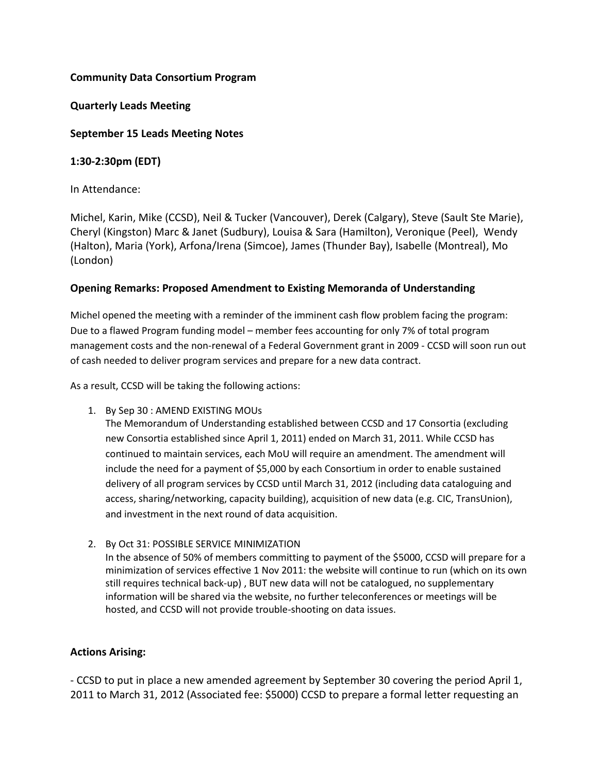# **Community Data Consortium Program**

# **Quarterly Leads Meeting**

# **September 15 Leads Meeting Notes**

# **1:30-2:30pm (EDT)**

# In Attendance:

Michel, Karin, Mike (CCSD), Neil & Tucker (Vancouver), Derek (Calgary), Steve (Sault Ste Marie), Cheryl (Kingston) Marc & Janet (Sudbury), Louisa & Sara (Hamilton), Veronique (Peel), Wendy (Halton), Maria (York), Arfona/Irena (Simcoe), James (Thunder Bay), Isabelle (Montreal), Mo (London)

#### **Opening Remarks: Proposed Amendment to Existing Memoranda of Understanding**

Michel opened the meeting with a reminder of the imminent cash flow problem facing the program: Due to a flawed Program funding model – member fees accounting for only 7% of total program management costs and the non-renewal of a Federal Government grant in 2009 - CCSD will soon run out of cash needed to deliver program services and prepare for a new data contract.

As a result, CCSD will be taking the following actions:

1. By Sep 30 : AMEND EXISTING MOUs

The Memorandum of Understanding established between CCSD and 17 Consortia (excluding new Consortia established since April 1, 2011) ended on March 31, 2011. While CCSD has continued to maintain services, each MoU will require an amendment. The amendment will include the need for a payment of \$5,000 by each Consortium in order to enable sustained delivery of all program services by CCSD until March 31, 2012 (including data cataloguing and access, sharing/networking, capacity building), acquisition of new data (e.g. CIC, TransUnion), and investment in the next round of data acquisition.

2. By Oct 31: POSSIBLE SERVICE MINIMIZATION In the absence of 50% of members committing to payment of the \$5000, CCSD will prepare for a minimization of services effective 1 Nov 2011: the website will continue to run (which on its own still requires technical back-up) , BUT new data will not be catalogued, no supplementary information will be shared via the website, no further teleconferences or meetings will be hosted, and CCSD will not provide trouble-shooting on data issues.

#### **Actions Arising:**

- CCSD to put in place a new amended agreement by September 30 covering the period April 1, 2011 to March 31, 2012 (Associated fee: \$5000) CCSD to prepare a formal letter requesting an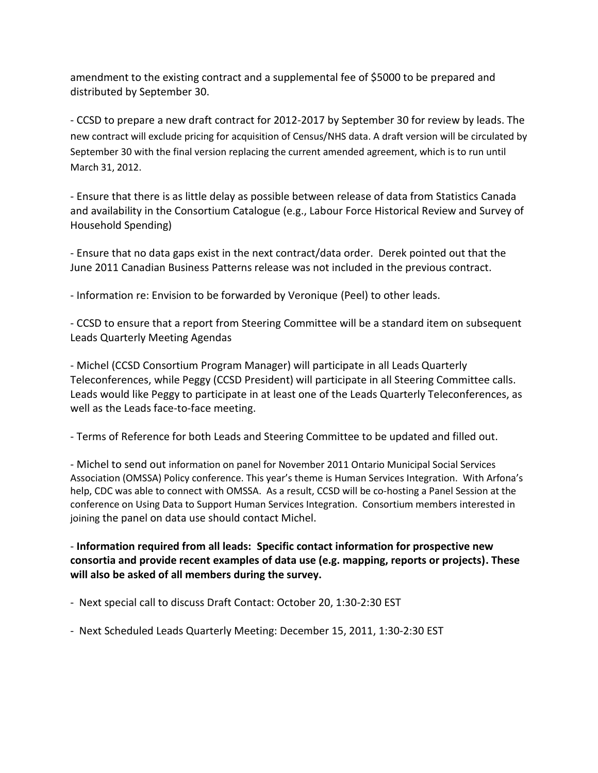amendment to the existing contract and a supplemental fee of \$5000 to be prepared and distributed by September 30.

- CCSD to prepare a new draft contract for 2012-2017 by September 30 for review by leads. The new contract will exclude pricing for acquisition of Census/NHS data. A draft version will be circulated by September 30 with the final version replacing the current amended agreement, which is to run until March 31, 2012.

- Ensure that there is as little delay as possible between release of data from Statistics Canada and availability in the Consortium Catalogue (e.g., Labour Force Historical Review and Survey of Household Spending)

- Ensure that no data gaps exist in the next contract/data order. Derek pointed out that the June 2011 Canadian Business Patterns release was not included in the previous contract.

- Information re: Envision to be forwarded by Veronique (Peel) to other leads.

- CCSD to ensure that a report from Steering Committee will be a standard item on subsequent Leads Quarterly Meeting Agendas

- Michel (CCSD Consortium Program Manager) will participate in all Leads Quarterly Teleconferences, while Peggy (CCSD President) will participate in all Steering Committee calls. Leads would like Peggy to participate in at least one of the Leads Quarterly Teleconferences, as well as the Leads face-to-face meeting.

- Terms of Reference for both Leads and Steering Committee to be updated and filled out.

- Michel to send out information on panel for November 2011 Ontario Municipal Social Services Association (OMSSA) Policy conference. This year's theme is Human Services Integration. With Arfona's help, CDC was able to connect with OMSSA. As a result, CCSD will be co-hosting a Panel Session at the conference on Using Data to Support Human Services Integration. Consortium members interested in joining the panel on data use should contact Michel.

- **Information required from all leads: Specific contact information for prospective new consortia and provide recent examples of data use (e.g. mapping, reports or projects). These will also be asked of all members during the survey.**

- Next special call to discuss Draft Contact: October 20, 1:30-2:30 EST

- Next Scheduled Leads Quarterly Meeting: December 15, 2011, 1:30-2:30 EST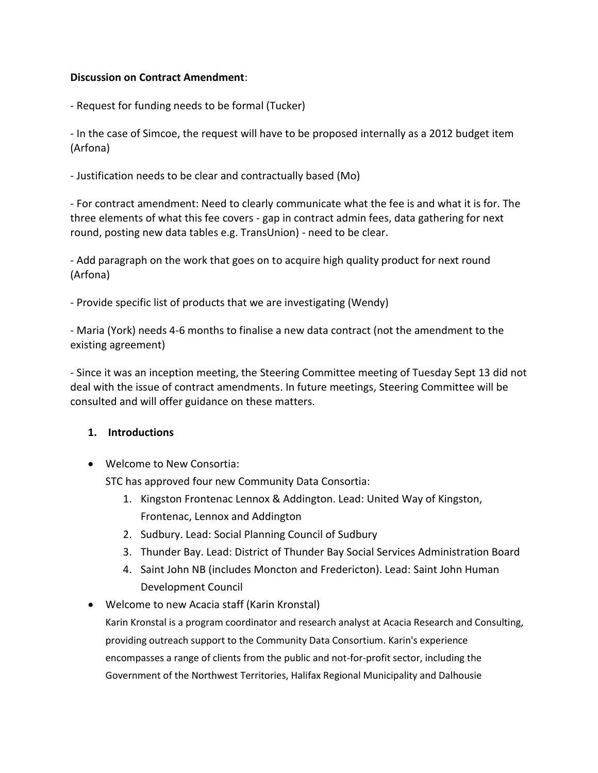# **Discussion on Contract Amendment**:

- Request for funding needs to be formal (Tucker)

- In the case of Simcoe, the request will have to be proposed internally as a 2012 budget item (Arfona)

- Justification needs to be clear and contractually based (Mo)

- For contract amendment: Need to clearly communicate what the fee is and what it is for. The three elements of what this fee covers - gap in contract admin fees, data gathering for next round, posting new data tables e.g. TransUnion) - need to be clear.

- Add paragraph on the work that goes on to acquire high quality product for next round (Arfona)

- Provide specific list of products that we are investigating (Wendy)

- Maria (York) needs 4-6 months to finalise a new data contract (not the amendment to the existing agreement)

- Since it was an inception meeting, the Steering Committee meeting of Tuesday Sept 13 did not deal with the issue of contract amendments. In future meetings, Steering Committee will be consulted and will offer guidance on these matters.

#### **1. Introductions**

Welcome to New Consortia:

STC has approved four new Community Data Consortia:

- 1. Kingston Frontenac Lennox & Addington. Lead: United Way of Kingston, Frontenac, Lennox and Addington
- 2. Sudbury. Lead: Social Planning Council of Sudbury
- 3. Thunder Bay. Lead: District of Thunder Bay Social Services Administration Board
- 4. Saint John NB (includes Moncton and Fredericton). Lead: Saint John Human Development Council
- Welcome to new Acacia staff (Karin Kronstal) Karin Kronstal is a program coordinator and research analyst at Acacia Research and Consulting, providing outreach support to the Community Data Consortium. Karin's experience

encompasses a range of clients from the public and not-for-profit sector, including the

Government of the Northwest Territories, Halifax Regional Municipality and Dalhousie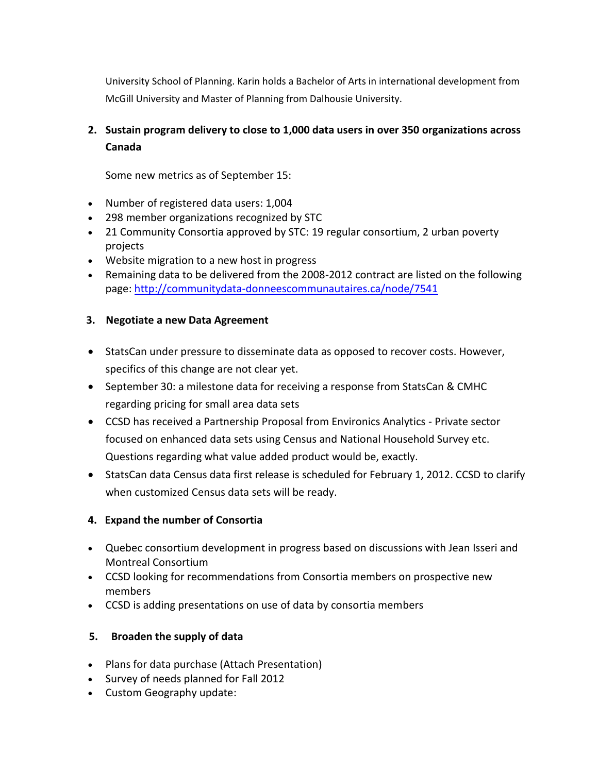University School of Planning. Karin holds a Bachelor of Arts in international development from McGill University and Master of Planning from Dalhousie University.

# **2. Sustain program delivery to close to 1,000 data users in over 350 organizations across Canada**

Some new metrics as of September 15:

- Number of registered data users: 1,004
- 298 member organizations recognized by STC
- 21 Community Consortia approved by STC: 19 regular consortium, 2 urban poverty projects
- Website migration to a new host in progress
- Remaining data to be delivered from the 2008-2012 contract are listed on the following page:<http://communitydata-donneescommunautaires.ca/node/7541>

#### **3. Negotiate a new Data Agreement**

- StatsCan under pressure to disseminate data as opposed to recover costs. However, specifics of this change are not clear yet.
- September 30: a milestone data for receiving a response from StatsCan & CMHC regarding pricing for small area data sets
- CCSD has received a Partnership Proposal from Environics Analytics Private sector focused on enhanced data sets using Census and National Household Survey etc. Questions regarding what value added product would be, exactly.
- StatsCan data Census data first release is scheduled for February 1, 2012. CCSD to clarify when customized Census data sets will be ready.

#### **4. Expand the number of Consortia**

- Quebec consortium development in progress based on discussions with Jean Isseri and Montreal Consortium
- CCSD looking for recommendations from Consortia members on prospective new members
- CCSD is adding presentations on use of data by consortia members

#### **5. Broaden the supply of data**

- Plans for data purchase (Attach Presentation)
- Survey of needs planned for Fall 2012
- Custom Geography update: